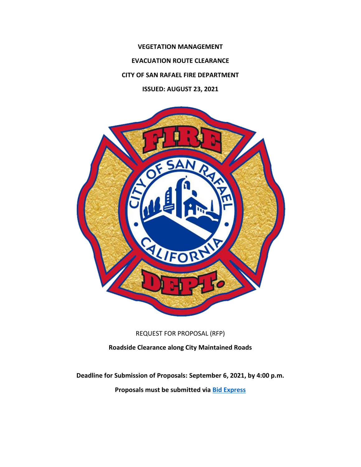**VEGETATION MANAGEMENT EVACUATION ROUTE CLEARANCE CITY OF SAN RAFAEL FIRE DEPARTMENT ISSUED: AUGUST 23, 2021**



REQUEST FOR PROPOSAL (RFP)

**Roadside Clearance along City Maintained Roads**

**Deadline for Submission of Proposals: September 6, 2021, by 4:00 p.m. Proposals must be submitted via [Bid Express](https://www.bidexpress.com/businesses/39341/home)**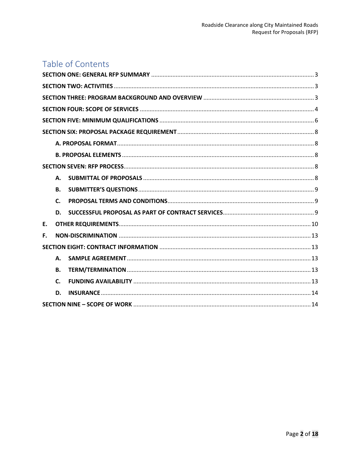# Table of Contents

| Α.           |
|--------------|
| <b>B.</b>    |
| $\mathsf{C}$ |
| D.           |
| Ε.           |
| F.           |
|              |
| А.           |
| <b>B.</b>    |
| C.           |
| D.           |
|              |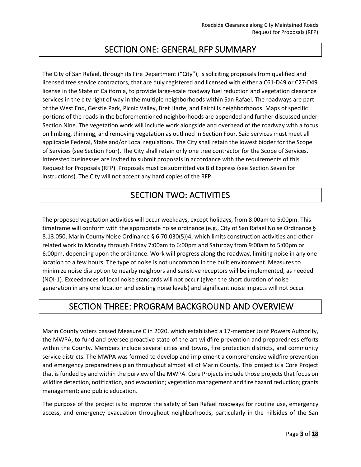## SECTION ONE: GENERAL RFP SUMMARY

<span id="page-2-0"></span>The City of San Rafael, through its Fire Department ("City"), is soliciting proposals from qualified and licensed tree service contractors, that are duly registered and licensed with either a C61-D49 or C27-D49 license in the State of California, to provide large-scale roadway fuel reduction and vegetation clearance services in the city right of way in the multiple neighborhoods within San Rafael. The roadways are part of the West End, Gerstle Park, Picnic Valley, Bret Harte, and Fairhills neighborhoods. Maps of specific portions of the roads in the beforementioned neighborhoods are appended and further discussed under Section Nine. The vegetation work will include work alongside and overhead of the roadway with a focus on limbing, thinning, and removing vegetation as outlined in Section Four. Said services must meet all applicable Federal, State and/or Local regulations. The City shall retain the lowest bidder for the Scope of Services (see Section Four). The City shall retain only one tree contractor for the Scope of Services. Interested businesses are invited to submit proposals in accordance with the requirements of this Request for Proposals (RFP). Proposals must be submitted via Bid Express (see Section Seven for instructions). The City will not accept any hard copies of the RFP.

# SECTION TWO: ACTIVITIES

<span id="page-2-1"></span>The proposed vegetation activities will occur weekdays, except holidays, from 8:00am to 5:00pm. This timeframe will conform with the appropriate noise ordinance (e.g., City of San Rafael Noise Ordinance § 8.13.050, Marin County Noise Ordinance § 6.70.030(5))4, which limits construction activities and other related work to Monday through Friday 7:00am to 6:00pm and Saturday from 9:00am to 5:00pm or 6:00pm, depending upon the ordinance. Work will progress along the roadway, limiting noise in any one location to a few hours. The type of noise is not uncommon in the built environment. Measures to minimize noise disruption to nearby neighbors and sensitive receptors will be implemented, as needed (NOI-1). Exceedances of local noise standards will not occur (given the short duration of noise generation in any one location and existing noise levels) and significant noise impacts will not occur.

## <span id="page-2-2"></span>SECTION THREE: PROGRAM BACKGROUND AND OVERVIEW

Marin County voters passed Measure C in 2020, which established a 17-member Joint Powers Authority, the MWPA, to fund and oversee proactive state-of-the-art wildfire prevention and preparedness efforts within the County. Members include several cities and towns, fire protection districts, and community service districts. The MWPA was formed to develop and implement a comprehensive wildfire prevention and emergency preparedness plan throughout almost all of Marin County. This project is a Core Project that is funded by and within the purview of the MWPA. Core Projects include those projects that focus on wildfire detection, notification, and evacuation; vegetation management and fire hazard reduction; grants management; and public education.

The purpose of the project is to improve the safety of San Rafael roadways for routine use, emergency access, and emergency evacuation throughout neighborhoods, particularly in the hillsides of the San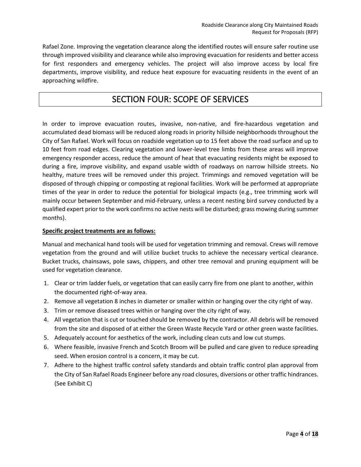Rafael Zone. Improving the vegetation clearance along the identified routes will ensure safer routine use through improved visibility and clearance while also improving evacuation for residents and better access for first responders and emergency vehicles. The project will also improve access by local fire departments, improve visibility, and reduce heat exposure for evacuating residents in the event of an approaching wildfire.

## SECTION FOUR: SCOPE OF SERVICES

<span id="page-3-0"></span>In order to improve evacuation routes, invasive, non-native, and fire-hazardous vegetation and accumulated dead biomass will be reduced along roads in priority hillside neighborhoods throughout the City of San Rafael. Work will focus on roadside vegetation up to 15 feet above the road surface and up to 10 feet from road edges. Clearing vegetation and lower-level tree limbs from these areas will improve emergency responder access, reduce the amount of heat that evacuating residents might be exposed to during a fire, improve visibility, and expand usable width of roadways on narrow hillside streets. No healthy, mature trees will be removed under this project. Trimmings and removed vegetation will be disposed of through chipping or composting at regional facilities. Work will be performed at appropriate times of the year in order to reduce the potential for biological impacts (e.g., tree trimming work will mainly occur between September and mid-February, unless a recent nesting bird survey conducted by a qualified expert prior to the work confirms no active nests will be disturbed; grass mowing during summer months).

#### **Specific project treatments are as follows:**

Manual and mechanical hand tools will be used for vegetation trimming and removal. Crews will remove vegetation from the ground and will utilize bucket trucks to achieve the necessary vertical clearance. Bucket trucks, chainsaws, pole saws, chippers, and other tree removal and pruning equipment will be used for vegetation clearance.

- 1. Clear or trim ladder fuels, or vegetation that can easily carry fire from one plant to another, within the documented right-of-way area.
- 2. Remove all vegetation 8 inches in diameter or smaller within or hanging over the city right of way.
- 3. Trim or remove diseased trees within or hanging over the city right of way.
- 4. All vegetation that is cut or touched should be removed by the contractor. All debris will be removed from the site and disposed of at either the Green Waste Recycle Yard or other green waste facilities.
- 5. Adequately account for aesthetics of the work, including clean cuts and low cut stumps.
- 6. Where feasible, invasive French and Scotch Broom will be pulled and care given to reduce spreading seed. When erosion control is a concern, it may be cut.
- 7. Adhere to the highest traffic control safety standards and obtain traffic control plan approval from the City of San Rafael Roads Engineer before any road closures, diversions or other traffic hindrances. (See Exhibit C)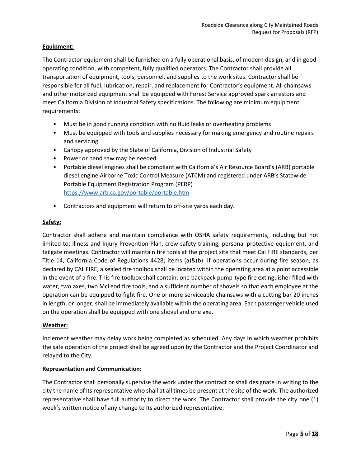#### **Equipment:**

The Contractor equipment shall be furnished on a fully operational basis, of modern design, and in good operating condition, with competent, fully qualified operators. The Contractor shall provide all transportation of equipment, tools, personnel, and supplies to the work sites. Contractor shall be responsible for all fuel, lubrication, repair, and replacement for Contractor's equipment. All chainsaws and other motorized equipment shall be equipped with Forest Service approved spark arrestors and meet California Division of Industrial Safety specifications. The following are minimum equipment requirements:

- Must be in good running condition with no fluid leaks or overheating problems
- Must be equipped with tools and supplies necessary for making emergency and routine repairs and servicing
- Canopy approved by the State of California, Division of Industrial Safety
- Power or hand saw may be needed
- Portable diesel engines shall be compliant with California's Air Resource Board's (ARB) portable diesel engine Airborne Toxic Control Measure (ATCM) and registered under ARB's Statewide Portable Equipment Registration Program (PERP) <https://www.arb.ca.gov/portable/portable.htm>
- Contractors and equipment will return to off-site yards each day.

### **Safety:**

Contractor shall adhere and maintain compliance with OSHA safety requirements, including but not limited to; Illness and Injury Prevention Plan, crew safety training, personal protective equipment, and tailgate meetings. Contractor will maintain fire tools at the project site that meet Cal FIRE standards, per Title 14, California Code of Regulations 4428; items (a)&(b). If operations occur during fire season, as declared by CAL FIRE, a sealed fire toolbox shall be located within the operating area at a point accessible in the event of a fire. This fire toolbox shall contain: one backpack pump-type fire extinguisher filled with water, two axes, two McLeod fire tools, and a sufficient number of shovels so that each employee at the operation can be equipped to fight fire. One or more serviceable chainsaws with a cutting bar 20 inches in length, or longer, shall be immediately available within the operating area. Each passenger vehicle used on the operation shall be equipped with one shovel and one axe.

#### **Weather:**

Inclement weather may delay work being completed as scheduled. Any days in which weather prohibits the safe operation of the project shall be agreed upon by the Contractor and the Project Coordinator and relayed to the City.

#### **Representation and Communication:**

The Contractor shall personally supervise the work under the contract or shall designate in writing to the city the name of its representative who shall at all times be present at the site of the work. The authorized representative shall have full authority to direct the work. The Contractor shall provide the city one (1) week's written notice of any change to its authorized representative.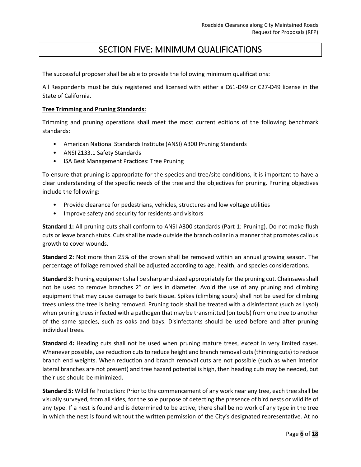## SECTION FIVE: MINIMUM QUALIFICATIONS

<span id="page-5-0"></span>The successful proposer shall be able to provide the following minimum qualifications:

All Respondents must be duly registered and licensed with either a C61-D49 or C27-D49 license in the State of California.

#### **Tree Trimming and Pruning Standards:**

Trimming and pruning operations shall meet the most current editions of the following benchmark standards:

- American National Standards Institute (ANSI) A300 Pruning Standards
- ANSI Z133.1 Safety Standards
- ISA Best Management Practices: Tree Pruning

To ensure that pruning is appropriate for the species and tree/site conditions, it is important to have a clear understanding of the specific needs of the tree and the objectives for pruning. Pruning objectives include the following:

- Provide clearance for pedestrians, vehicles, structures and low voltage utilities
- Improve safety and security for residents and visitors

**Standard 1:** All pruning cuts shall conform to ANSI A300 standards (Part 1: Pruning). Do not make flush cuts or leave branch stubs. Cuts shall be made outside the branch collar in a manner that promotes callous growth to cover wounds.

**Standard 2:** Not more than 25% of the crown shall be removed within an annual growing season. The percentage of foliage removed shall be adjusted according to age, health, and species considerations.

**Standard 3:** Pruning equipment shall be sharp and sized appropriately for the pruning cut. Chainsaws shall not be used to remove branches 2" or less in diameter. Avoid the use of any pruning and climbing equipment that may cause damage to bark tissue. Spikes (climbing spurs) shall not be used for climbing trees unless the tree is being removed. Pruning tools shall be treated with a disinfectant (such as Lysol) when pruning trees infected with a pathogen that may be transmitted (on tools) from one tree to another of the same species, such as oaks and bays. Disinfectants should be used before and after pruning individual trees.

**Standard 4:** Heading cuts shall not be used when pruning mature trees, except in very limited cases. Whenever possible, use reduction cuts to reduce height and branch removal cuts (thinning cuts) to reduce branch end weights. When reduction and branch removal cuts are not possible (such as when interior lateral branches are not present) and tree hazard potential is high, then heading cuts may be needed, but their use should be minimized.

**Standard 5:** Wildlife Protection: Prior to the commencement of any work near any tree, each tree shall be visually surveyed, from all sides, for the sole purpose of detecting the presence of bird nests or wildlife of any type. If a nest is found and is determined to be active, there shall be no work of any type in the tree in which the nest is found without the written permission of the City's designated representative. At no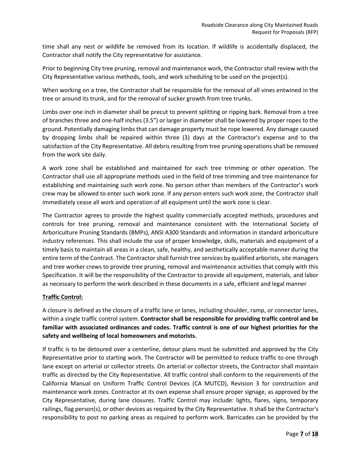time shall any nest or wildlife be removed from its location. If wildlife is accidentally displaced, the Contractor shall notify the City representative for assistance.

Prior to beginning City tree pruning, removal and maintenance work, the Contractor shall review with the City Representative various methods, tools, and work scheduling to be used on the project(s).

When working on a tree, the Contractor shall be responsible for the removal of all vines entwined in the tree or around its trunk, and for the removal of sucker growth from tree trunks.

Limbs over one inch in diameter shall be precut to prevent splitting or ripping bark. Removal from a tree of branches three and one-half inches (3.5") or larger in diameter shall be lowered by proper ropes to the ground. Potentially damaging limbs that can damage property must be rope lowered. Any damage caused by dropping limbs shall be repaired within three (3) days at the Contractor's expense and to the satisfaction of the City Representative. All debris resulting from tree pruning operations shall be removed from the work site daily.

A work zone shall be established and maintained for each tree trimming or other operation. The Contractor shall use all appropriate methods used in the field of tree trimming and tree maintenance for establishing and maintaining such work zone. No person other than members of the Contractor's work crew may be allowed to enter such work zone. If any person enters such work zone, the Contractor shall immediately cease all work and operation of all equipment until the work zone is clear.

The Contractor agrees to provide the highest quality commercially accepted methods, procedures and controls for tree pruning, removal and maintenance consistent with the International Society of Arboriculture Pruning Standards (BMPs), ANSI A300 Standards and information in standard arboriculture industry references. This shall include the use of proper knowledge, skills, materials and equipment of a timely basis to maintain all areas in a clean, safe, healthy, and aesthetically acceptable manner during the entire term of the Contract. The Contractor shall furnish tree services by qualified arborists, site managers and tree worker crews to provide tree pruning, removal and maintenance activities that comply with this Specification. It will be the responsibility of the Contractor to provide all equipment, materials, and labor as necessary to perform the work described in these documents in a safe, efficient and legal manner

### **Traffic Control:**

A closure is defined as the closure of a traffic lane or lanes, including shoulder, ramp, or connector lanes, within a single traffic control system. **Contractor shall be responsible for providing traffic control and be familiar with associated ordinances and codes. Traffic control is one of our highest priorities for the safety and wellbeing of local homeowners and motorists.**

If traffic is to be detoured over a centerline, detour plans must be submitted and approved by the City Representative prior to starting work. The Contractor will be permitted to reduce traffic to one through lane except on arterial or collector streets. On arterial or collector streets, the Contractor shall maintain traffic as directed by the City Representative. All traffic control shall conform to the requirements of the California Manual on Uniform Traffic Control Devices (CA MUTCD), Revision 3 for construction and maintenance work zones. Contractor at its own expense shall ensure proper signage, as approved by the City Representative, during lane closures. Traffic Control may include: lights, flares, signs, temporary railings, flag person(s), or other devices as required by the City Representative. It shall be the Contractor's responsibility to post no parking areas as required to perform work. Barricades can be provided by the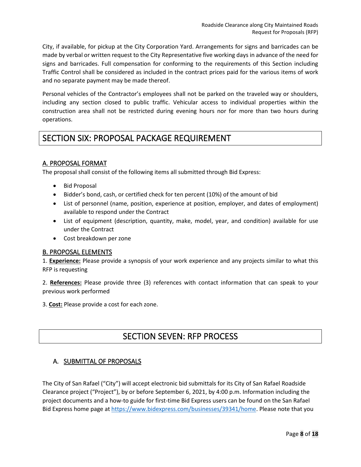City, if available, for pickup at the City Corporation Yard. Arrangements for signs and barricades can be made by verbal or written request to the City Representative five working days in advance of the need for signs and barricades. Full compensation for conforming to the requirements of this Section including Traffic Control shall be considered as included in the contract prices paid for the various items of work and no separate payment may be made thereof.

Personal vehicles of the Contractor's employees shall not be parked on the traveled way or shoulders, including any section closed to public traffic. Vehicular access to individual properties within the construction area shall not be restricted during evening hours nor for more than two hours during operations.

## <span id="page-7-0"></span>SECTION SIX: PROPOSAL PACKAGE REQUIREMENT

## <span id="page-7-1"></span>A. PROPOSAL FORMAT

The proposal shall consist of the following items all submitted through Bid Express:

- Bid Proposal
- Bidder's bond, cash, or certified check for ten percent (10%) of the amount of bid
- List of personnel (name, position, experience at position, employer, and dates of employment) available to respond under the Contract
- List of equipment (description, quantity, make, model, year, and condition) available for use under the Contract
- Cost breakdown per zone

### <span id="page-7-2"></span>B. PROPOSAL ELEMENTS

1. **Experience:** Please provide a synopsis of your work experience and any projects similar to what this RFP is requesting

2. **References:** Please provide three (3) references with contact information that can speak to your previous work performed

<span id="page-7-3"></span>3. **Cost:** Please provide a cost for each zone.

## SECTION SEVEN: RFP PROCESS

### <span id="page-7-4"></span>A. SUBMITTAL OF PROPOSALS

The City of San Rafael ("City") will accept electronic bid submittals for its City of San Rafael Roadside Clearance project ("Project"), by or before September 6, 2021, by 4:00 p.m. Information including the project documents and a how-to guide for first-time Bid Express users can be found on the San Rafael Bid Express home page at [https://www.bidexpress.com/businesses/39341/home.](https://www.bidexpress.com/businesses/39341/home) Please note that you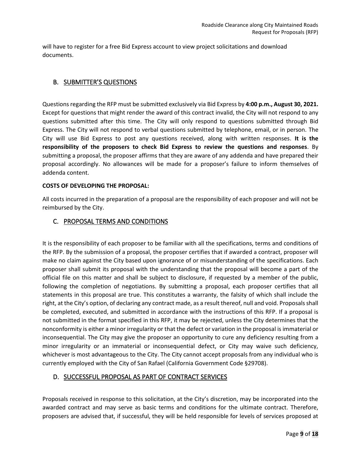will have to register for a free Bid Express account to view project solicitations and download documents.

### <span id="page-8-0"></span>B. SUBMITTER'S QUESTIONS

Questions regarding the RFP must be submitted exclusively via Bid Express by **4:00 p.m., August 30, 2021.** Except for questions that might render the award of this contract invalid, the City will not respond to any questions submitted after this time. The City will only respond to questions submitted through Bid Express. The City will not respond to verbal questions submitted by telephone, email, or in person. The City will use Bid Express to post any questions received, along with written responses. **It is the responsibility of the proposers to check Bid Express to review the questions and responses**. By submitting a proposal, the proposer affirms that they are aware of any addenda and have prepared their proposal accordingly. No allowances will be made for a proposer's failure to inform themselves of addenda content.

#### **COSTS OF DEVELOPING THE PROPOSAL:**

All costs incurred in the preparation of a proposal are the responsibility of each proposer and will not be reimbursed by the City.

### <span id="page-8-1"></span>C. PROPOSAL TERMS AND CONDITIONS

It is the responsibility of each proposer to be familiar with all the specifications, terms and conditions of the RFP. By the submission of a proposal, the proposer certifies that if awarded a contract, proposer will make no claim against the City based upon ignorance of or misunderstanding of the specifications. Each proposer shall submit its proposal with the understanding that the proposal will become a part of the official file on this matter and shall be subject to disclosure, if requested by a member of the public, following the completion of negotiations. By submitting a proposal, each proposer certifies that all statements in this proposal are true. This constitutes a warranty, the falsity of which shall include the right, at the City's option, of declaring any contract made, as a result thereof, null and void. Proposals shall be completed, executed, and submitted in accordance with the instructions of this RFP. If a proposal is not submitted in the format specified in this RFP, it may be rejected, unless the City determines that the nonconformity is either a minor irregularity or that the defect or variation in the proposal is immaterial or inconsequential. The City may give the proposer an opportunity to cure any deficiency resulting from a minor irregularity or an immaterial or inconsequential defect, or City may waive such deficiency, whichever is most advantageous to the City. The City cannot accept proposals from any individual who is currently employed with the City of San Rafael (California Government Code §29708).

## <span id="page-8-2"></span>D. SUCCESSFUL PROPOSAL AS PART OF CONTRACT SERVICES

Proposals received in response to this solicitation, at the City's discretion, may be incorporated into the awarded contract and may serve as basic terms and conditions for the ultimate contract. Therefore, proposers are advised that, if successful, they will be held responsible for levels of services proposed at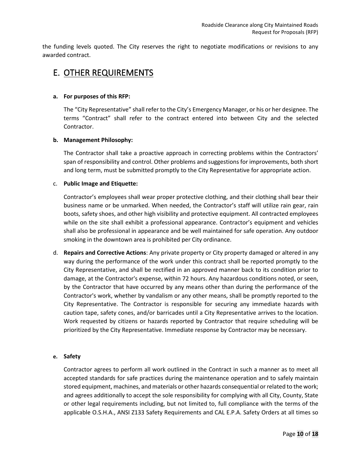the funding levels quoted. The City reserves the right to negotiate modifications or revisions to any awarded contract.

## <span id="page-9-0"></span>E. OTHER REQUIREMENTS

#### **a. For purposes of this RFP:**

The "City Representative" shall refer to the City's Emergency Manager, or his or her designee. The terms "Contract" shall refer to the contract entered into between City and the selected Contractor.

#### **b. Management Philosophy:**

The Contractor shall take a proactive approach in correcting problems within the Contractors' span of responsibility and control. Other problems and suggestions for improvements, both short and long term, must be submitted promptly to the City Representative for appropriate action.

#### c. **Public Image and Etiquette:**

Contractor's employees shall wear proper protective clothing, and their clothing shall bear their business name or be unmarked. When needed, the Contractor's staff will utilize rain gear, rain boots, safety shoes, and other high visibility and protective equipment. All contracted employees while on the site shall exhibit a professional appearance. Contractor's equipment and vehicles shall also be professional in appearance and be well maintained for safe operation. Any outdoor smoking in the downtown area is prohibited per City ordinance.

d. **Repairs and Corrective Actions**: Any private property or City property damaged or altered in any way during the performance of the work under this contract shall be reported promptly to the City Representative, and shall be rectified in an approved manner back to its condition prior to damage, at the Contractor's expense, within 72 hours. Any hazardous conditions noted, or seen, by the Contractor that have occurred by any means other than during the performance of the Contractor's work, whether by vandalism or any other means, shall be promptly reported to the City Representative. The Contractor is responsible for securing any immediate hazards with caution tape, safety cones, and/or barricades until a City Representative arrives to the location. Work requested by citizens or hazards reported by Contractor that require scheduling will be prioritized by the City Representative. Immediate response by Contractor may be necessary.

#### **e. Safety**

Contractor agrees to perform all work outlined in the Contract in such a manner as to meet all accepted standards for safe practices during the maintenance operation and to safely maintain stored equipment, machines, and materials or other hazards consequential or related to the work; and agrees additionally to accept the sole responsibility for complying with all City, County, State or other legal requirements including, but not limited to, full compliance with the terms of the applicable O.S.H.A., ANSI Z133 Safety Requirements and CAL E.P.A. Safety Orders at all times so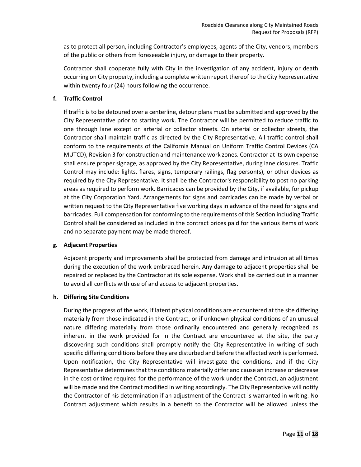as to protect all person, including Contractor's employees, agents of the City, vendors, members of the public or others from foreseeable injury, or damage to their property.

Contractor shall cooperate fully with City in the investigation of any accident, injury or death occurring on City property, including a complete written report thereof to the City Representative within twenty four (24) hours following the occurrence.

#### **f. Traffic Control**

If traffic is to be detoured over a centerline, detour plans must be submitted and approved by the City Representative prior to starting work. The Contractor will be permitted to reduce traffic to one through lane except on arterial or collector streets. On arterial or collector streets, the Contractor shall maintain traffic as directed by the City Representative. All traffic control shall conform to the requirements of the California Manual on Uniform Traffic Control Devices (CA MUTCD), Revision 3 for construction and maintenance work zones. Contractor at its own expense shall ensure proper signage, as approved by the City Representative, during lane closures. Traffic Control may include: lights, flares, signs, temporary railings, flag person(s), or other devices as required by the City Representative. It shall be the Contractor's responsibility to post no parking areas as required to perform work. Barricades can be provided by the City, if available, for pickup at the City Corporation Yard. Arrangements for signs and barricades can be made by verbal or written request to the City Representative five working days in advance of the need for signs and barricades. Full compensation for conforming to the requirements of this Section including Traffic Control shall be considered as included in the contract prices paid for the various items of work and no separate payment may be made thereof.

#### **g. Adjacent Properties**

Adjacent property and improvements shall be protected from damage and intrusion at all times during the execution of the work embraced herein. Any damage to adjacent properties shall be repaired or replaced by the Contractor at its sole expense. Work shall be carried out in a manner to avoid all conflicts with use of and access to adjacent properties.

#### **h. Differing Site Conditions**

During the progress of the work, if latent physical conditions are encountered at the site differing materially from those indicated in the Contract, or if unknown physical conditions of an unusual nature differing materially from those ordinarily encountered and generally recognized as inherent in the work provided for in the Contract are encountered at the site, the party discovering such conditions shall promptly notify the City Representative in writing of such specific differing conditions before they are disturbed and before the affected work is performed. Upon notification, the City Representative will investigate the conditions, and if the City Representative determines that the conditions materially differ and cause an increase or decrease in the cost or time required for the performance of the work under the Contract, an adjustment will be made and the Contract modified in writing accordingly. The City Representative will notify the Contractor of his determination if an adjustment of the Contract is warranted in writing. No Contract adjustment which results in a benefit to the Contractor will be allowed unless the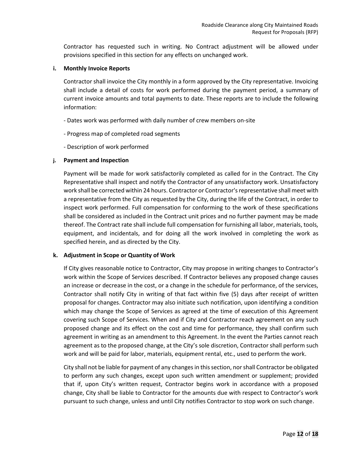Contractor has requested such in writing. No Contract adjustment will be allowed under provisions specified in this section for any effects on unchanged work.

#### **i. Monthly Invoice Reports**

Contractor shall invoice the City monthly in a form approved by the City representative. Invoicing shall include a detail of costs for work performed during the payment period, a summary of current invoice amounts and total payments to date. These reports are to include the following information:

- Dates work was performed with daily number of crew members on-site
- Progress map of completed road segments
- Description of work performed

#### **j. Payment and Inspection**

Payment will be made for work satisfactorily completed as called for in the Contract. The City Representative shall inspect and notify the Contractor of any unsatisfactory work. Unsatisfactory work shall be corrected within 24 hours. Contractor or Contractor's representative shall meet with a representative from the City as requested by the City, during the life of the Contract, in order to inspect work performed. Full compensation for conforming to the work of these specifications shall be considered as included in the Contract unit prices and no further payment may be made thereof. The Contract rate shall include full compensation for furnishing all labor, materials, tools, equipment, and incidentals, and for doing all the work involved in completing the work as specified herein, and as directed by the City.

#### **k. Adjustment in Scope or Quantity of Work**

If City gives reasonable notice to Contractor, City may propose in writing changes to Contractor's work within the Scope of Services described. If Contractor believes any proposed change causes an increase or decrease in the cost, or a change in the schedule for performance, of the services, Contractor shall notify City in writing of that fact within five (5) days after receipt of written proposal for changes. Contractor may also initiate such notification, upon identifying a condition which may change the Scope of Services as agreed at the time of execution of this Agreement covering such Scope of Services. When and if City and Contractor reach agreement on any such proposed change and its effect on the cost and time for performance, they shall confirm such agreement in writing as an amendment to this Agreement. In the event the Parties cannot reach agreement as to the proposed change, at the City's sole discretion, Contractor shall perform such work and will be paid for labor, materials, equipment rental, etc., used to perform the work.

City shall not be liable for payment of any changes in this section, nor shall Contractor be obligated to perform any such changes, except upon such written amendment or supplement; provided that if, upon City's written request, Contractor begins work in accordance with a proposed change, City shall be liable to Contractor for the amounts due with respect to Contractor's work pursuant to such change, unless and until City notifies Contractor to stop work on such change.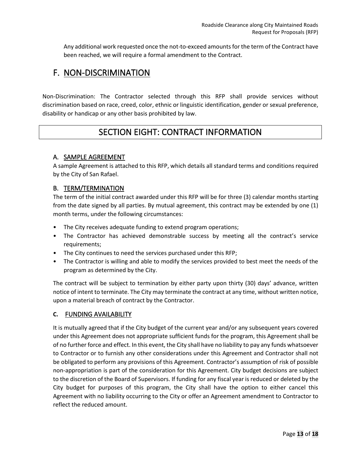Any additional work requested once the not-to-exceed amounts for the term of the Contract have been reached, we will require a formal amendment to the Contract.

## <span id="page-12-0"></span>F. NON-DISCRIMINATION

<span id="page-12-1"></span>Non-Discrimination: The Contractor selected through this RFP shall provide services without discrimination based on race, creed, color, ethnic or linguistic identification, gender or sexual preference, disability or handicap or any other basis prohibited by law.

## SECTION EIGHT: CONTRACT INFORMATION

## <span id="page-12-2"></span>A. SAMPLE AGREEMENT

A sample Agreement is attached to this RFP, which details all standard terms and conditions required by the City of San Rafael.

## <span id="page-12-3"></span>B. TERM/TERMINATION

The term of the initial contract awarded under this RFP will be for three (3) calendar months starting from the date signed by all parties. By mutual agreement, this contract may be extended by one (1) month terms, under the following circumstances:

- The City receives adequate funding to extend program operations;
- The Contractor has achieved demonstrable success by meeting all the contract's service requirements;
- The City continues to need the services purchased under this RFP;
- The Contractor is willing and able to modify the services provided to best meet the needs of the program as determined by the City.

The contract will be subject to termination by either party upon thirty (30) days' advance, written notice of intent to terminate. The City may terminate the contract at any time, without written notice, upon a material breach of contract by the Contractor.

### <span id="page-12-4"></span>**C.** FUNDING AVAILABILITY

It is mutually agreed that if the City budget of the current year and/or any subsequent years covered under this Agreement does not appropriate sufficient funds for the program, this Agreement shall be of no further force and effect. In this event, the City shall have no liability to pay any funds whatsoever to Contractor or to furnish any other considerations under this Agreement and Contractor shall not be obligated to perform any provisions of this Agreement. Contractor's assumption of risk of possible non-appropriation is part of the consideration for this Agreement. City budget decisions are subject to the discretion of the Board of Supervisors. If funding for any fiscal year is reduced or deleted by the City budget for purposes of this program, the City shall have the option to either cancel this Agreement with no liability occurring to the City or offer an Agreement amendment to Contractor to reflect the reduced amount.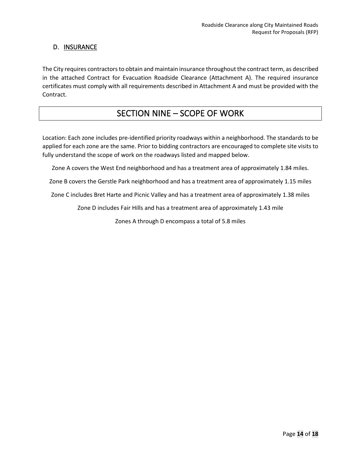## <span id="page-13-0"></span>D. INSURANCE

The City requires contractors to obtain and maintain insurance throughout the contract term, as described in the attached Contract for Evacuation Roadside Clearance (Attachment A). The required insurance certificates must comply with all requirements described in Attachment A and must be provided with the Contract.

## SECTION NINE – SCOPE OF WORK

<span id="page-13-1"></span>Location: Each zone includes pre-identified priority roadways within a neighborhood. The standards to be applied for each zone are the same. Prior to bidding contractors are encouraged to complete site visits to fully understand the scope of work on the roadways listed and mapped below.

Zone A covers the West End neighborhood and has a treatment area of approximately 1.84 miles.

Zone B covers the Gerstle Park neighborhood and has a treatment area of approximately 1.15 miles

Zone C includes Bret Harte and Picnic Valley and has a treatment area of approximately 1.38 miles

Zone D includes Fair Hills and has a treatment area of approximately 1.43 mile

Zones A through D encompass a total of 5.8 miles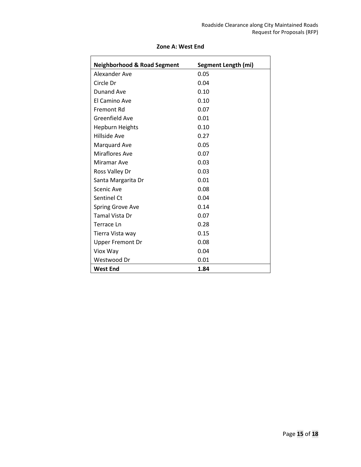| <b>Neighborhood &amp; Road Segment</b> | Segment Length (mi) |
|----------------------------------------|---------------------|
| Alexander Ave                          | 0.05                |
| Circle Dr                              | 0.04                |
| Dunand Ave                             | 0.10                |
| El Camino Ave                          | 0.10                |
| Fremont Rd                             | 0.07                |
| Greenfield Ave                         | 0.01                |
| <b>Hepburn Heights</b>                 | 0.10                |
| <b>Hillside Ave</b>                    | 0.27                |
| Marquard Ave                           | 0.05                |
| <b>Miraflores Ave</b>                  | 0.07                |
| Miramar Ave                            | 0.03                |
| Ross Valley Dr                         | 0.03                |
| Santa Margarita Dr                     | 0.01                |
| Scenic Ave                             | 0.08                |
| Sentinel Ct                            | 0.04                |
| Spring Grove Ave                       | 0.14                |
| <b>Tamal Vista Dr</b>                  | 0.07                |
| Terrace Ln                             | 0.28                |
| Tierra Vista way                       | 0.15                |
| <b>Upper Fremont Dr</b>                | 0.08                |
| Viox Way                               | 0.04                |
| Westwood Dr                            | 0.01                |
| <b>West End</b>                        | 1.84                |

### **Zone A: West End**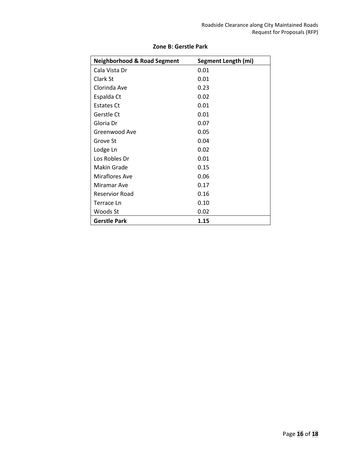| <b>Neighborhood &amp; Road Segment</b> | Segment Length (mi) |
|----------------------------------------|---------------------|
| Cala Vista Dr                          | 0.01                |
| Clark St                               | 0.01                |
| Clorinda Ave                           | 0.23                |
| Espalda Ct                             | 0.02                |
| <b>Estates Ct</b>                      | 0.01                |
| Gerstle Ct                             | 0.01                |
| Gloria Dr                              | 0.07                |
| Greenwood Ave                          | 0.05                |
| Grove St                               | 0.04                |
| Lodge Ln                               | 0.02                |
| Los Robles Dr                          | 0.01                |
| Makin Grade                            | 0.15                |
| Miraflores Ave                         | 0.06                |
| Miramar Ave                            | 0.17                |
| Reservior Road                         | 0.16                |
| Terrace Ln                             | 0.10                |
| Woods St                               | 0.02                |
| <b>Gerstle Park</b>                    | 1.15                |

### **Zone B: Gerstle Park**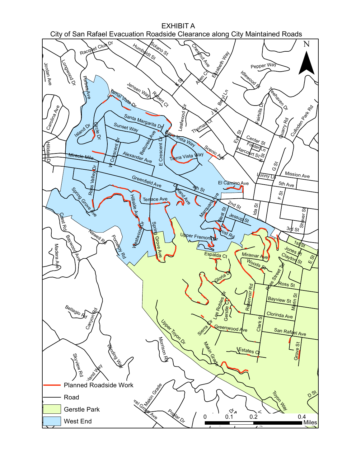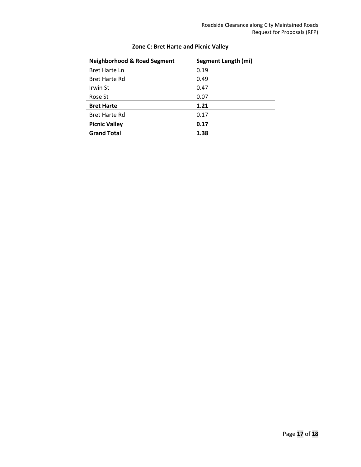| <b>Neighborhood &amp; Road Segment</b> | Segment Length (mi) |
|----------------------------------------|---------------------|
| Bret Harte Ln                          | 0.19                |
| <b>Bret Harte Rd</b>                   | 0.49                |
| Irwin St                               | 0.47                |
| Rose St                                | 0.07                |
| <b>Bret Harte</b>                      | 1.21                |
| <b>Bret Harte Rd</b>                   | 0.17                |
| <b>Picnic Valley</b>                   | 0.17                |
| <b>Grand Total</b>                     | 1.38                |

## **Zone C: Bret Harte and Picnic Valley**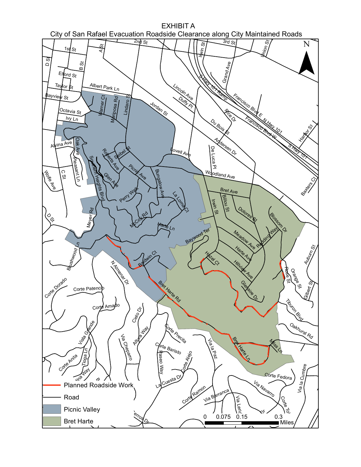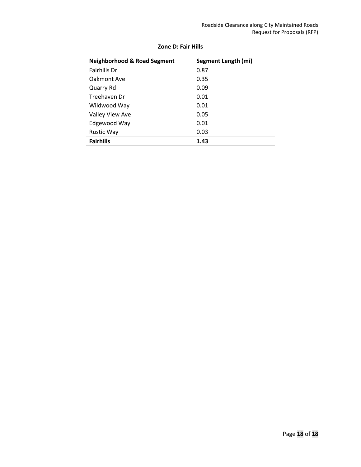| <b>Neighborhood &amp; Road Segment</b> | Segment Length (mi) |
|----------------------------------------|---------------------|
| <b>Fairhills Dr</b>                    | 0.87                |
| Oakmont Ave                            | 0.35                |
| Quarry Rd                              | 0.09                |
| Treehaven Dr                           | 0.01                |
| Wildwood Way                           | 0.01                |
| <b>Valley View Ave</b>                 | 0.05                |
| Edgewood Way                           | 0.01                |
| <b>Rustic Way</b>                      | 0.03                |
| <b>Fairhills</b>                       | 1.43                |

### **Zone D: Fair Hills**